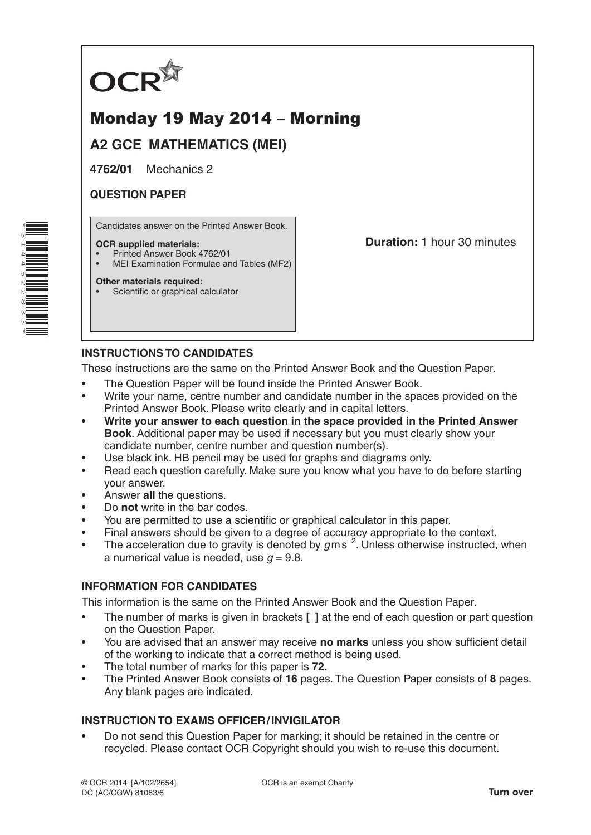

# Monday 19 May 2014 – Morning

**A2 GCE MATHEMATICS (MEI)**

**4762/01** Mechanics 2

## **QUESTION PAPER**

Candidates answer on the Printed Answer Book.

#### **OCR supplied materials:**

- Printed Answer Book 4762/01
- MEI Examination Formulae and Tables (MF2)

#### **Other materials required:**

• Scientific or graphical calculator

**Duration:** 1 hour 30 minutes

### **INSTRUCTIONS TO CANDIDATES**

These instructions are the same on the Printed Answer Book and the Question Paper.

- The Question Paper will be found inside the Printed Answer Book.
- Write your name, centre number and candidate number in the spaces provided on the Printed Answer Book. Please write clearly and in capital letters.
- **Write your answer to each question in the space provided in the Printed Answer Book**. Additional paper may be used if necessary but you must clearly show your candidate number, centre number and question number(s).
- Use black ink. HB pencil may be used for graphs and diagrams only.
- Read each question carefully. Make sure you know what you have to do before starting your answer.
- Answer **all** the questions.
- Do **not** write in the bar codes.
- You are permitted to use a scientific or graphical calculator in this paper.
- Final answers should be given to a degree of accuracy appropriate to the context.
- The acceleration due to gravity is denoted by  $g$ ms<sup>-2</sup>. Unless otherwise instructed, when a numerical value is needed, use  $q = 9.8$ .

#### **INFORMATION FOR CANDIDATES**

This information is the same on the Printed Answer Book and the Question Paper.

- The number of marks is given in brackets **[ ]** at the end of each question or part question on the Question Paper.
- You are advised that an answer may receive **no marks** unless you show sufficient detail of the working to indicate that a correct method is being used.
- The total number of marks for this paper is **72**.
- The Printed Answer Book consists of **16** pages. The Question Paper consists of **8** pages. Any blank pages are indicated.

### **INSTRUCTION TO EXAMS OFFICER/INVIGILATOR**

• Do not send this Question Paper for marking; it should be retained in the centre or recycled. Please contact OCR Copyright should you wish to re-use this document.

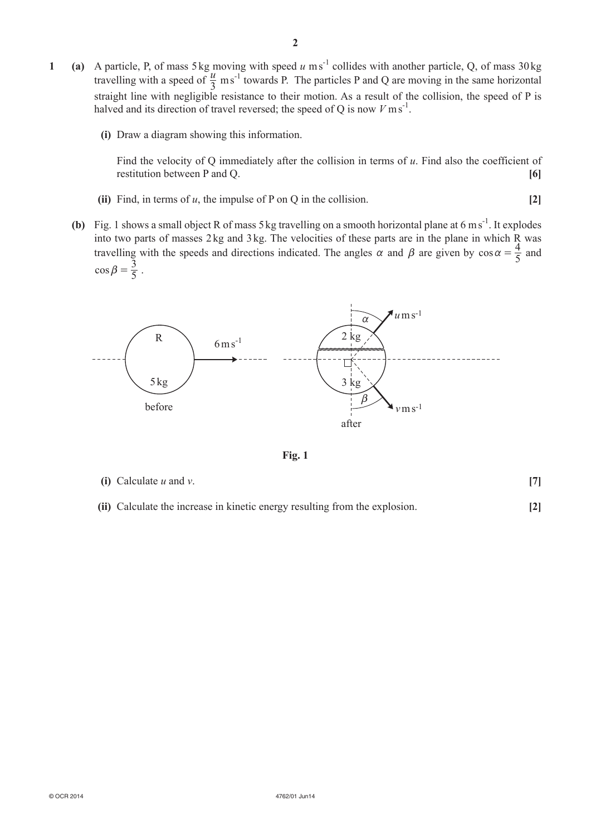- **1** (a) A particle, P, of mass 5 kg moving with speed *u* ms<sup>-1</sup> collides with another particle, Q, of mass 30 kg travelling with a speed of  $\frac{u}{3}$  ms<sup>-1</sup> towards P. The particles P and Q are moving in the same horizontal straight line with negligible resistance to their motion. As a result of the collision, the speed of P is halved and its direction of travel reversed; the speed of Q is now  $V \text{ ms}^{-1}$ .
	- **(i)** Draw a diagram showing this information.

Find the velocity of O immediately after the collision in terms of *u*. Find also the coefficient of restitution between P and Q. **[6]**

- **(ii)** Find, in terms of *u*, the impulse of P on Q in the collision.  $\begin{bmatrix} 2 \end{bmatrix}$
- **(b)** Fig. 1 shows a small object R of mass 5 kg travelling on a smooth horizontal plane at 6 ms<sup>-1</sup>. It explodes into two parts of masses 2kg and 3kg. The velocities of these parts are in the plane in which R was travelling with the speeds and directions indicated. The angles  $\alpha$  and  $\beta$  are given by  $\cos \alpha = \frac{4}{5}$  and  $\cos \beta = \frac{3}{5}$ .



**Fig. 1**

| (i) Calculate $u$ and $v$ .                                                 |  |
|-----------------------------------------------------------------------------|--|
| (ii) Calculate the increase in kinetic energy resulting from the explosion. |  |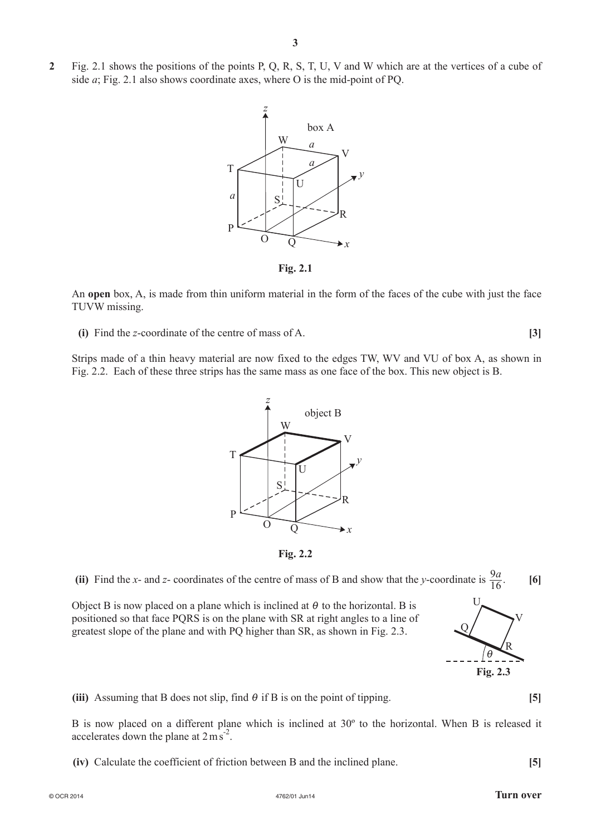**2**  Fig. 2.1 shows the positions of the points P, Q, R, S, T, U, V and W which are at the vertices of a cube of side *a*; Fig. 2.1 also shows coordinate axes, where O is the mid-point of PQ.



**Fig. 2.1**

An **open** box, A, is made from thin uniform material in the form of the faces of the cube with just the face TUVW missing.

**(i)** Find the *z*-coordinate of the centre of mass of A. **[3]** 

Strips made of a thin heavy material are now fixed to the edges TW, WV and VU of box A, as shown in Fig. 2.2. Each of these three strips has the same mass as one face of the box. This new object is B.





(ii) Find the *x*- and *z*- coordinates of the centre of mass of B and show that the *y*-coordinate is  $\frac{9a}{16}$ . [6]

Object B is now placed on a plane which is inclined at  $\theta$  to the horizontal. B is positioned so that face PQRS is on the plane with SR at right angles to a line of greatest slope of the plane and with PQ higher than SR, as shown in Fig. 2.3.



**(iii)** Assuming that B does not slip, find  $\theta$  if B is on the point of tipping. **[5]** 

B is now placed on a different plane which is inclined at 30º to the horizontal. When B is released it accelerates down the plane at  $2 \text{ m s}^{-2}$ .

**(iv)** Calculate the coefficient of friction between B and the inclined plane. **[5]**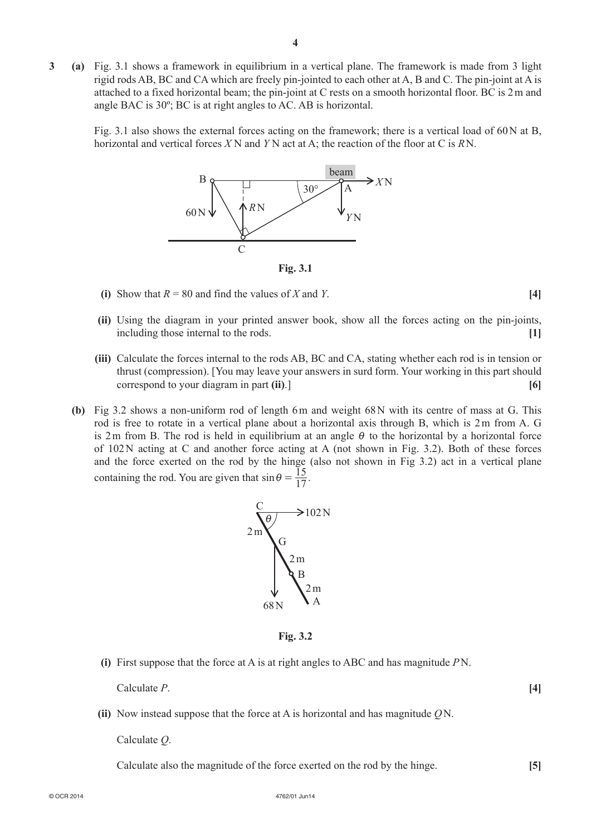**3 (a)**  Fig. 3.1 shows a framework in equilibrium in a vertical plane. The framework is made from 3 light rigid rods AB, BC and CA which are freely pin-jointed to each other at A, B and C. The pin-joint at A is attached to a fixed horizontal beam; the pin-joint at C rests on a smooth horizontal floor. BC is 2m and angle BAC is 30º; BC is at right angles to AC. AB is horizontal.

**4**

Fig. 3.1 also shows the external forces acting on the framework; there is a vertical load of 60N at B, horizontal and vertical forces *X* N and *Y* N act at A; the reaction of the floor at C is *R*N.



**Fig. 3.1**

- **(i)** Show that  $R = 80$  and find the values of *X* and *Y*. [4]
- **(ii)** Using the diagram in your printed answer book, show all the forces acting on the pin-joints, including those internal to the rods. **[1]**
- **(iii)** Calculate the forces internal to the rods AB, BC and CA, stating whether each rod is in tension or thrust (compression). [You may leave your answers in surd form. Your working in this part should correspond to your diagram in part **(ii)**.] **[6]**
- **(b)**  Fig 3.2 shows a non-uniform rod of length 6m and weight 68N with its centre of mass at G. This rod is free to rotate in a vertical plane about a horizontal axis through B, which is 2m from A. G is 2m from B. The rod is held in equilibrium at an angle  $\theta$  to the horizontal by a horizontal force of 102N acting at C and another force acting at A (not shown in Fig. 3.2). Both of these forces and the force exerted on the rod by the hinge (also not shown in Fig 3.2) act in a vertical plane containing the rod. You are given that  $\sin \theta = \frac{15}{17}$ .



**Fig. 3.2**

**(i)** First suppose that the force at A is at right angles to ABC and has magnitude *PN*.

 **Calculate** *P***.**  $[4]$ 

**(ii)** Now instead suppose that the force at A is horizontal and has magnitude  $ON$ .

 Calculate *Q*.

Calculate also the magnitude of the force exerted on the rod by the hinge. **[5]**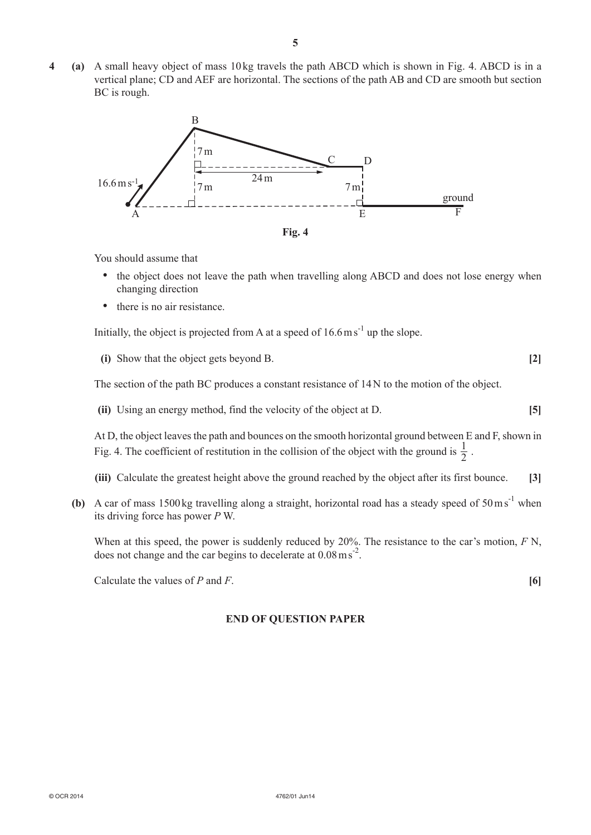**4 (a)**  A small heavy object of mass 10kg travels the path ABCD which is shown in Fig. 4. ABCD is in a vertical plane; CD and AEF are horizontal. The sections of the path AB and CD are smooth but section BC is rough.



You should assume that

- the object does not leave the path when travelling along ABCD and does not lose energy when changing direction
- there is no air resistance.

Initially, the object is projected from A at a speed of  $16.6 \text{ m s}^{-1}$  up the slope.

**(i)** Show that the object gets beyond B. **[2]** 

The section of the path BC produces a constant resistance of 14N to the motion of the object.

**(ii)** Using an energy method, find the velocity of the object at D. **[5]** 

At D, the object leaves the path and bounces on the smooth horizontal ground between E and F, shown in Fig. 4. The coefficient of restitution in the collision of the object with the ground is  $\frac{1}{2}$ .

- **(iii)** Calculate the greatest height above the ground reached by the object after its first bounce. **[3]**
- **(b)** A car of mass 1500 kg travelling along a straight, horizontal road has a steady speed of  $50 \text{ m s}^{-1}$  when its driving force has power *P* W.

When at this speed, the power is suddenly reduced by  $20\%$ . The resistance to the car's motion, *F* N, does not change and the car begins to decelerate at  $0.08 \text{ m s}^2$ .

Calculate the values of *P* and *F*. **[6]**

#### **END OF QUESTION PAPER**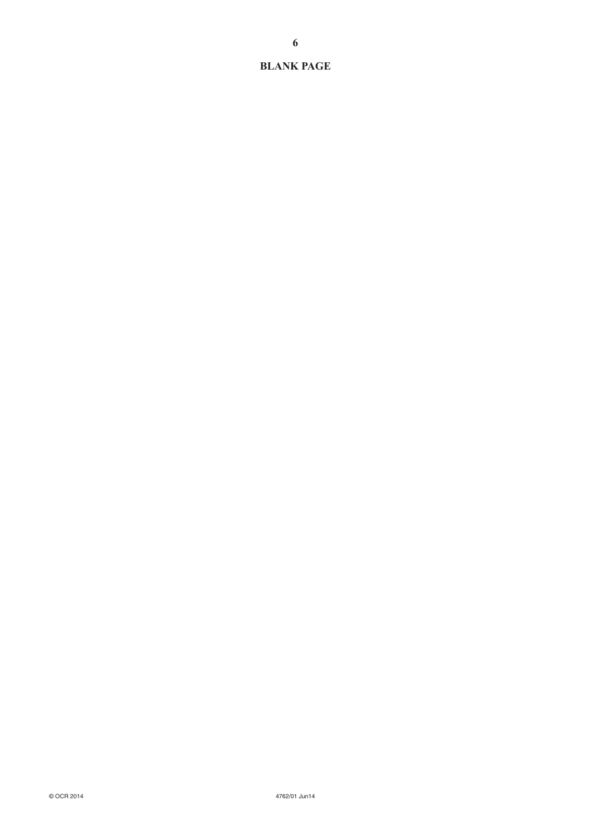### **BLANK PAGE**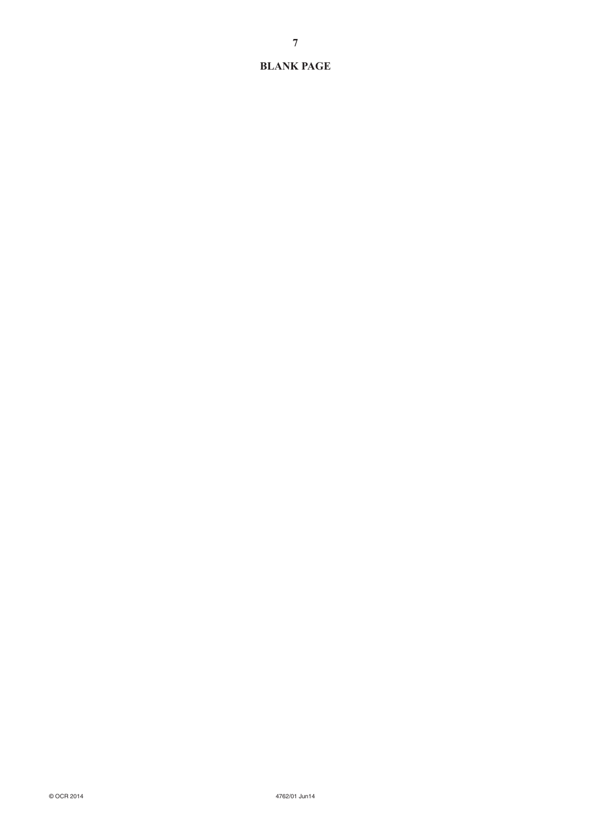### **BLANK PAGE**